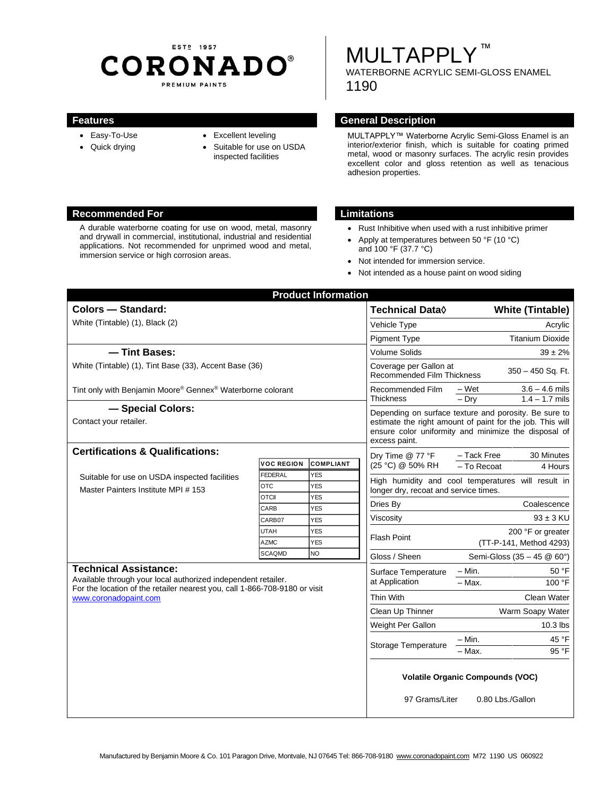# ESTP 1957 **CORONADO®** PREMIUM PAINTS

# **MULTAPPLY™**

WATERBORNE ACRYLIC SEMI-GLOSS ENAMEL 1190

- Easy-To-Use
- Quick drying
- Excellent leveling
- Suitable for use on USDA inspected facilities

#### **Features General Description**

MULTAPPLY™ Waterborne Acrylic Semi-Gloss Enamel is an interior/exterior finish, which is suitable for coating primed metal, wood or masonry surfaces. The acrylic resin provides excellent color and gloss retention as well as tenacious adhesion properties.

#### **Recommended For Limitations**

A durable waterborne coating for use on wood, metal, masonry and drywall in commercial, institutional, industrial and residential applications. Not recommended for unprimed wood and metal, immersion service or high corrosion areas.

- Rust Inhibitive when used with a rust inhibitive primer
- Apply at temperatures between 50 °F (10 °C) and 100 °F (37.7 °C)
- Not intended for immersion service.
- Not intended as a house paint on wood siding

| <b>Product Information</b>                                                                                                                  |                            |                                               |                                                                                                                                                                                             |                                                          |
|---------------------------------------------------------------------------------------------------------------------------------------------|----------------------------|-----------------------------------------------|---------------------------------------------------------------------------------------------------------------------------------------------------------------------------------------------|----------------------------------------------------------|
| <b>Colors - Standard:</b>                                                                                                                   |                            |                                               | <b>Technical Data</b> ◊                                                                                                                                                                     | <b>White (Tintable)</b>                                  |
| White (Tintable) (1), Black (2)                                                                                                             |                            |                                               | Vehicle Type                                                                                                                                                                                | Acrylic                                                  |
|                                                                                                                                             |                            |                                               | <b>Pigment Type</b>                                                                                                                                                                         | <b>Titanium Dioxide</b>                                  |
| - Tint Bases:                                                                                                                               |                            |                                               | <b>Volume Solids</b>                                                                                                                                                                        | $39 \pm 2\%$                                             |
| White (Tintable) (1), Tint Base (33), Accent Base (36)                                                                                      |                            |                                               | Coverage per Gallon at<br>350 - 450 Sq. Ft.<br><b>Recommended Film Thickness</b>                                                                                                            |                                                          |
| Tint only with Benjamin Moore® Gennex® Waterborne colorant                                                                                  |                            |                                               | Recommended Film<br>Thickness                                                                                                                                                               | – Wet<br>$3.6 - 4.6$ mils<br>$1.4 - 1.7$ mils<br>$-$ Drv |
| - Special Colors:                                                                                                                           |                            |                                               | Depending on surface texture and porosity. Be sure to<br>estimate the right amount of paint for the job. This will<br>ensure color uniformity and minimize the disposal of<br>excess paint. |                                                          |
| Contact your retailer.                                                                                                                      |                            |                                               |                                                                                                                                                                                             |                                                          |
| <b>Certifications &amp; Qualifications:</b>                                                                                                 |                            | - Tack Free<br>30 Minutes<br>Dry Time @ 77 °F |                                                                                                                                                                                             |                                                          |
|                                                                                                                                             | <b>VOC REGION</b>          | <b>COMPLIANT</b>                              | (25 °C) @ 50% RH                                                                                                                                                                            | - To Recoat<br>4 Hours                                   |
| Suitable for use on USDA inspected facilities<br>Master Painters Institute MPI #153                                                         | FEDERAL                    | <b>YES</b>                                    |                                                                                                                                                                                             | High humidity and cool temperatures will result in       |
|                                                                                                                                             | <b>OTC</b><br><b>OTCII</b> | <b>YES</b><br><b>YES</b>                      | longer dry, recoat and service times.                                                                                                                                                       |                                                          |
|                                                                                                                                             | CARB                       | <b>YES</b>                                    | Dries Bv                                                                                                                                                                                    | Coalescence                                              |
|                                                                                                                                             | CARB07                     | <b>YES</b>                                    | Viscosity                                                                                                                                                                                   | $93 \pm 3$ KU                                            |
|                                                                                                                                             | UTAH                       | <b>YES</b>                                    |                                                                                                                                                                                             | 200 °F or greater                                        |
|                                                                                                                                             | <b>AZMC</b>                | <b>YES</b>                                    | <b>Flash Point</b>                                                                                                                                                                          | (TT-P-141, Method 4293)                                  |
|                                                                                                                                             | <b>SCAQMD</b>              | <b>NO</b>                                     | Gloss / Sheen                                                                                                                                                                               | Semi-Gloss (35 - 45 @ 60°)                               |
| <b>Technical Assistance:</b>                                                                                                                |                            |                                               | Surface Temperature<br>at Application                                                                                                                                                       | – Min.<br>50 °F                                          |
| Available through your local authorized independent retailer.<br>For the location of the retailer nearest you, call 1-866-708-9180 or visit |                            |                                               |                                                                                                                                                                                             | 100 °F<br>$-$ Max.                                       |
| www.coronadopaint.com                                                                                                                       |                            |                                               | Thin With                                                                                                                                                                                   | Clean Water                                              |
|                                                                                                                                             |                            |                                               | Clean Up Thinner                                                                                                                                                                            | Warm Soapy Water                                         |
|                                                                                                                                             |                            |                                               | Weight Per Gallon                                                                                                                                                                           | $10.3$ lbs                                               |
|                                                                                                                                             |                            |                                               | Storage Temperature                                                                                                                                                                         | 45 °F<br>$-$ Min.                                        |
|                                                                                                                                             |                            |                                               |                                                                                                                                                                                             | 95 °F<br>- Max.                                          |
|                                                                                                                                             |                            |                                               | <b>Volatile Organic Compounds (VOC)</b><br>97 Grams/Liter<br>0.80 Lbs./Gallon                                                                                                               |                                                          |
|                                                                                                                                             |                            |                                               |                                                                                                                                                                                             |                                                          |